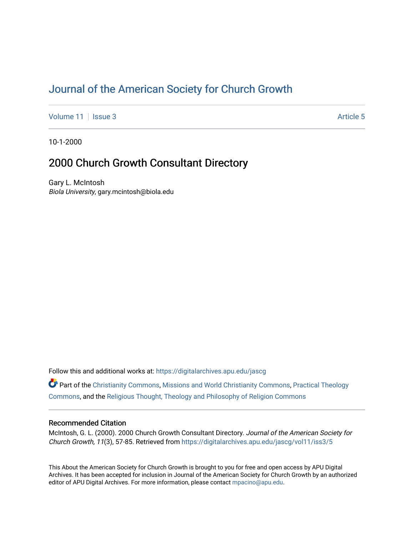# [Journal of the American Society for Church Growth](https://digitalarchives.apu.edu/jascg)

[Volume 11](https://digitalarchives.apu.edu/jascg/vol11) | [Issue 3](https://digitalarchives.apu.edu/jascg/vol11/iss3) Article 5

10-1-2000

## 2000 Church Growth Consultant Directory

Gary L. McIntosh Biola University, gary.mcintosh@biola.edu

Follow this and additional works at: [https://digitalarchives.apu.edu/jascg](https://digitalarchives.apu.edu/jascg?utm_source=digitalarchives.apu.edu%2Fjascg%2Fvol11%2Fiss3%2F5&utm_medium=PDF&utm_campaign=PDFCoverPages) 

Part of the [Christianity Commons,](http://network.bepress.com/hgg/discipline/1181?utm_source=digitalarchives.apu.edu%2Fjascg%2Fvol11%2Fiss3%2F5&utm_medium=PDF&utm_campaign=PDFCoverPages) [Missions and World Christianity Commons](http://network.bepress.com/hgg/discipline/1187?utm_source=digitalarchives.apu.edu%2Fjascg%2Fvol11%2Fiss3%2F5&utm_medium=PDF&utm_campaign=PDFCoverPages), [Practical Theology](http://network.bepress.com/hgg/discipline/1186?utm_source=digitalarchives.apu.edu%2Fjascg%2Fvol11%2Fiss3%2F5&utm_medium=PDF&utm_campaign=PDFCoverPages)  [Commons](http://network.bepress.com/hgg/discipline/1186?utm_source=digitalarchives.apu.edu%2Fjascg%2Fvol11%2Fiss3%2F5&utm_medium=PDF&utm_campaign=PDFCoverPages), and the [Religious Thought, Theology and Philosophy of Religion Commons](http://network.bepress.com/hgg/discipline/544?utm_source=digitalarchives.apu.edu%2Fjascg%2Fvol11%2Fiss3%2F5&utm_medium=PDF&utm_campaign=PDFCoverPages) 

## Recommended Citation

McIntosh, G. L. (2000). 2000 Church Growth Consultant Directory. Journal of the American Society for Church Growth, 11(3), 57-85. Retrieved from [https://digitalarchives.apu.edu/jascg/vol11/iss3/5](https://digitalarchives.apu.edu/jascg/vol11/iss3/5?utm_source=digitalarchives.apu.edu%2Fjascg%2Fvol11%2Fiss3%2F5&utm_medium=PDF&utm_campaign=PDFCoverPages)

This About the American Society for Church Growth is brought to you for free and open access by APU Digital Archives. It has been accepted for inclusion in Journal of the American Society for Church Growth by an authorized editor of APU Digital Archives. For more information, please contact [mpacino@apu.edu.](mailto:mpacino@apu.edu)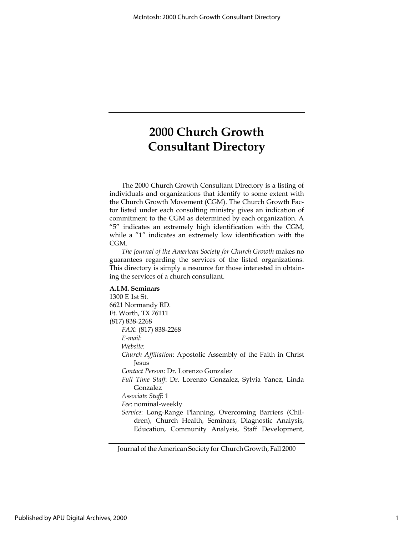The 2000 Church Growth Consultant Directory is a listing of individuals and organizations that identify to some extent with the Church Growth Movement (CGM). The Church Growth Factor listed under each consulting ministry gives an indication of commitment to the CGM as determined by each organization. A "5" indicates an extremely high identification with the CGM, while a "1" indicates an extremely low identification with the CGM.

The Journal of the American Society for Church Growth makes no guarantees regarding the services of the listed organizations. This directory is simply a resource for those interested in obtaining the services of a church consultant.

#### A.I.M. Seminars

1300 E 1st St. 6621 Normandy RD. Ft. Worth, TX 76111 (817) 838-2268 FAX: (817) 838-2268 E-mail: Website: Church Affiliation: Apostolic Assembly of the Faith in Christ Jesus Contact Person: Dr. Lorenzo Gonzalez Full Time Staff: Dr. Lorenzo Gonzalez, Sylvia Yanez, Linda Gonzalez Associate Staff: 1 Fee: nominal-weekly Service: Long-Range Planning, Overcoming Barriers (Children), Church Health, Seminars, Diagnostic Analysis, Education, Community Analysis, Staff Development,

Journal of the American Society for Church Growth, Fall 2000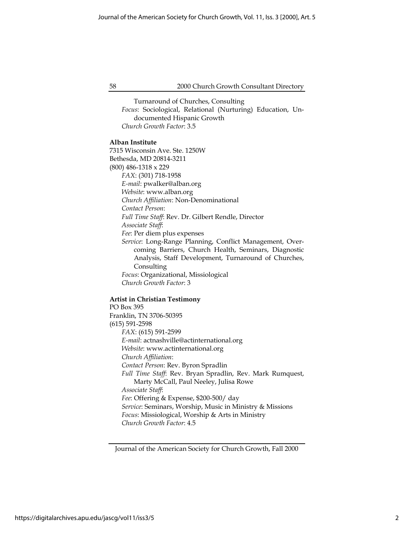Turnaround of Churches, Consulting Focus: Sociological, Relational (Nurturing) Education, Undocumented Hispanic Growth Church Growth Factor: 3.5

#### Alban Institute

7315 Wisconsin Ave. Ste. 1250W Bethesda, MD 20814-3211 (800) 486-1318 x 229 FAX: (301) 718-1958 E-mail: pwalker@alban.org Website: www.alban.org Church Affiliation: Non-Denominational Contact Person: Full Time Staff: Rev. Dr. Gilbert Rendle, Director Associate Staff: Fee: Per diem plus expenses Service: Long-Range Planning, Conflict Management, Overcoming Barriers, Church Health, Seminars, Diagnostic Analysis, Staff Development, Turnaround of Churches, Consulting Focus: Organizational, Missiological Church Growth Factor: 3

#### Artist in Christian Testimony

PO Box 395 Franklin, TN 3706-50395 (615) 591-2598 FAX: (615) 591-2599 E-mail: actnashville@actinternational.org Website: www.actinternational.org Church Affiliation: Contact Person: Rev. Byron Spradlin Full Time Staff: Rev. Bryan Spradlin, Rev. Mark Rumquest, Marty McCall, Paul Neeley, Julisa Rowe Associate Staff: Fee: Offering & Expense, \$200-500/ day Service: Seminars, Worship, Music in Ministry & Missions Focus: Missiological, Worship & Arts in Ministry Church Growth Factor: 4.5

Journal of the American Society for Church Growth, Fall 2000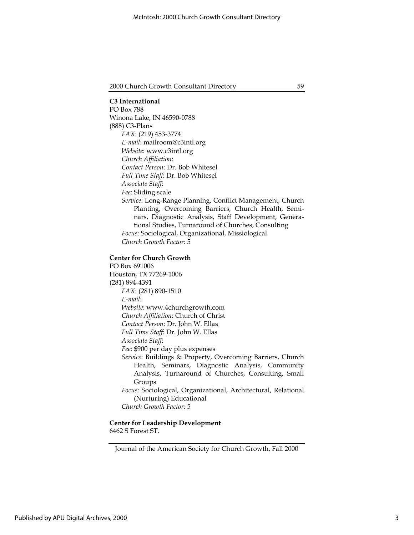C3 International PO Box 788 Winona Lake, IN 46590-0788 (888) C3-Plans FAX: (219) 453-3774 E-mail: mailroom@c3intl.org Website: www.c3intl.org Church Affiliation: Contact Person: Dr. Bob Whitesel Full Time Staff: Dr. Bob Whitesel Associate Staff: Fee: Sliding scale Service: Long-Range Planning, Conflict Management, Church Planting, Overcoming Barriers, Church Health, Seminars, Diagnostic Analysis, Staff Development, Generational Studies, Turnaround of Churches, Consulting Focus: Sociological, Organizational, Missiological Church Growth Factor: 5

#### Center for Church Growth

PO Box 691006 Houston, TX 77269-1006 (281) 894-4391 FAX: (281) 890-1510 E-mail: Website: www.4churchgrowth.com Church Affiliation: Church of Christ Contact Person: Dr. John W. Ellas Full Time Staff: Dr. John W. Ellas Associate Staff: Fee: \$900 per day plus expenses Service: Buildings & Property, Overcoming Barriers, Church Health, Seminars, Diagnostic Analysis, Community Analysis, Turnaround of Churches, Consulting, Small Groups Focus: Sociological, Organizational, Architectural, Relational (Nurturing) Educational

Church Growth Factor: 5

## Center for Leadership Development 6462 S Forest ST.

Journal of the American Society for Church Growth, Fall 2000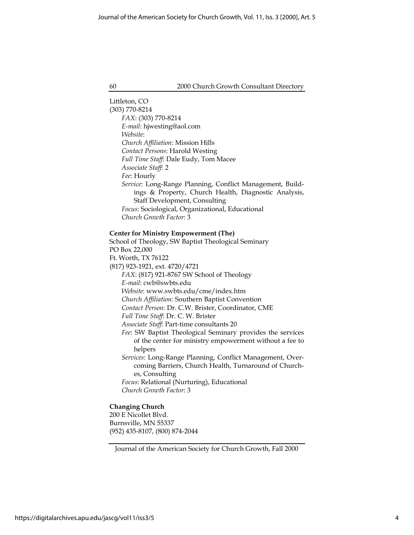Littleton, CO (303) 770-8214 FAX: (303) 770-8214 E-mail: hjwesting@aol.com Website: Church Affiliation: Mission Hills Contact Persons: Harold Westing Full Time Staff: Dale Eudy, Tom Macee Associate Staff: 2 Fee: Hourly Service: Long-Range Planning, Conflict Management, Buildings & Property, Church Health, Diagnostic Analysis, Staff Development, Consulting Focus: Sociological, Organizational, Educational Church Growth Factor: 3

#### Center for Ministry Empowerment (The)

School of Theology, SW Baptist Theological Seminary PO Box 22,000 Ft. Worth, TX 76122 (817) 923-1921, ext. 4720/4721 FAX: (817) 921-8767 SW School of Theology E-mail: cwb@swbts.edu Website: www.swbts.edu/cme/index.htm Church Affiliation: Southern Baptist Convention Contact Person: Dr. C.W. Brister, Coordinator, CME Full Time Staff: Dr. C. W. Brister Associate Staff: Part-time consultants 20 Fee: SW Baptist Theological Seminary provides the services of the center for ministry empowerment without a fee to helpers Services: Long-Range Planning, Conflict Management, Overcoming Barriers, Church Health, Turnaround of Churches, Consulting Focus: Relational (Nurturing), Educational Church Growth Factor: 3

## Changing Church

200 E Nicollet Blvd. Burnsville, MN 55337 (952) 435-8107, (800) 874-2044

Journal of the American Society for Church Growth, Fall 2000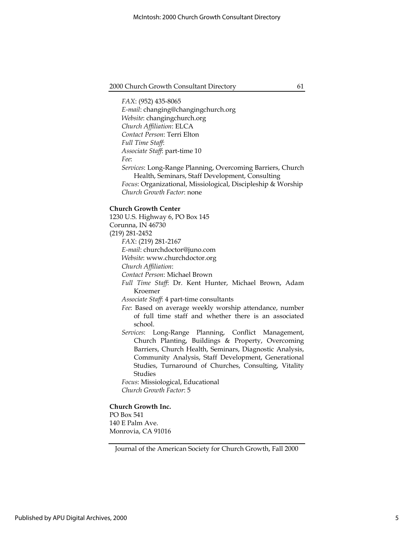FAX: (952) 435-8065 E-mail: changing@changingchurch.org Website: changingchurch.org Church Affiliation: ELCA Contact Person: Terri Elton Full Time Staff: Associate Staff: part-time 10 Fee: Services: Long-Range Planning, Overcoming Barriers, Church Health, Seminars, Staff Development, Consulting Focus: Organizational, Missiological, Discipleship & Worship Church Growth Factor: none

#### Church Growth Center

1230 U.S. Highway 6, PO Box 145 Corunna, IN 46730 (219) 281-2452 FAX: (219) 281-2167 E-mail: churchdoctor@juno.com Website: www.churchdoctor.org Church Affiliation: Contact Person: Michael Brown Full Time Staff: Dr. Kent Hunter, Michael Brown, Adam Kroemer Associate Staff: 4 part-time consultants Fee: Based on average weekly worship attendance, number of full time staff and whether there is an associated school. Services: Long-Range Planning, Conflict Management, Church Planting, Buildings & Property, Overcoming Barriers, Church Health, Seminars, Diagnostic Analysis, Community Analysis, Staff Development, Generational Studies, Turnaround of Churches, Consulting, Vitality Studies Focus: Missiological, Educational Church Growth Factor: 5

## Church Growth Inc.

PO Box 541 140 E Palm Ave. Monrovia, CA 91016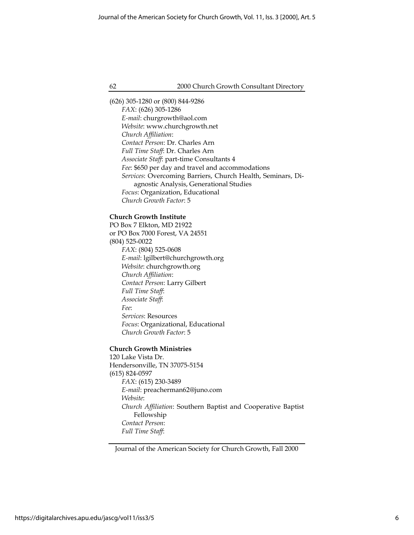(626) 305-1280 or (800) 844-9286 FAX: (626) 305-1286 E-mail: churgrowth@aol.com Website: www.churchgrowth.net Church Affiliation: Contact Person: Dr. Charles Arn Full Time Staff: Dr. Charles Arn Associate Staff: part-time Consultants 4 Fee: \$650 per day and travel and accommodations Services: Overcoming Barriers, Church Health, Seminars, Diagnostic Analysis, Generational Studies Focus: Organization, Educational Church Growth Factor: 5

## Church Growth Institute

PO Box 7 Elkton, MD 21922 or PO Box 7000 Forest, VA 24551 (804) 525-0022 FAX: (804) 525-0608 E-mail: lgilbert@churchgrowth.org Website: churchgrowth.org Church Affiliation: Contact Person: Larry Gilbert Full Time Staff: Associate Staff: Fee: Services: Resources Focus: Organizational, Educational Church Growth Factor: 5

#### Church Growth Ministries

120 Lake Vista Dr. Hendersonville, TN 37075-5154 (615) 824-0597 FAX: (615) 230-3489 E-mail: preacherman62@juno.com Website: Church Affiliation: Southern Baptist and Cooperative Baptist Fellowship Contact Person: Full Time Staff:

Journal of the American Society for Church Growth, Fall 2000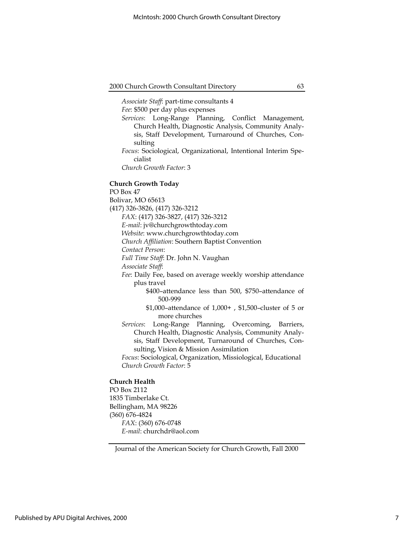Associate Staff: part-time consultants 4 Fee: \$500 per day plus expenses Services: Long-Range Planning, Conflict Management, Church Health, Diagnostic Analysis, Community Analysis, Staff Development, Turnaround of Churches, Consulting Focus: Sociological, Organizational, Intentional Interim Specialist Church Growth Factor: 3

Church Growth Today PO Box 47 Bolivar, MO 65613 (417) 326-3826, (417) 326-3212 FAX: (417) 326-3827, (417) 326-3212 E-mail: jv@churchgrowthtoday.com Website: www.churchgrowthtoday.com Church Affiliation: Southern Baptist Convention Contact Person: Full Time Staff: Dr. John N. Vaughan Associate Staff: Fee: Daily Fee, based on average weekly worship attendance plus travel \$400–attendance less than 500, \$750–attendance of 500-999 \$1,000–attendance of 1,000+ , \$1,500–cluster of 5 or more churches Services: Long-Range Planning, Overcoming, Barriers, Church Health, Diagnostic Analysis, Community Analysis, Staff Development, Turnaround of Churches, Consulting, Vision & Mission Assimilation Focus: Sociological, Organization, Missiological, Educational Church Growth Factor: 5

#### Church Health

PO Box 2112 1835 Timberlake Ct. Bellingham, MA 98226 (360) 676-4824 FAX: (360) 676-0748 E-mail: churchdr@aol.com

Journal of the American Society for Church Growth, Fall 2000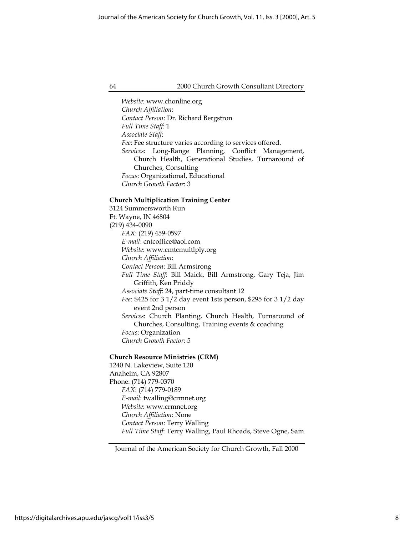Website: www.chonline.org Church Affiliation: Contact Person: Dr. Richard Bergstron Full Time Staff: 1 Associate Staff: Fee: Fee structure varies according to services offered. Services: Long-Range Planning, Conflict Management, Church Health, Generational Studies, Turnaround of Churches, Consulting Focus: Organizational, Educational Church Growth Factor: 3

## Church Multiplication Training Center

3124 Summersworth Run Ft. Wayne, IN 46804 (219) 434-0090 FAX: (219) 459-0597 E-mail: cntcoffice@aol.com Website: www.cmtcmultlply.org Church Affiliation: Contact Person: Bill Armstrong Full Time Staff: Bill Maick, Bill Armstrong, Gary Teja, Jim Griffith, Ken Priddy Associate Staff: 24, part-time consultant 12 Fee: \$425 for 3 1/2 day event 1sts person, \$295 for 3 1/2 day event 2nd person Services: Church Planting, Church Health, Turnaround of Churches, Consulting, Training events & coaching Focus: Organization Church Growth Factor: 5

## Church Resource Ministries (CRM)

1240 N. Lakeview, Suite 120 Anaheim, CA 92807 Phone: (714) 779-0370 FAX: (714) 779-0189 E-mail: twalling@crmnet.org Website: www.crmnet.org Church Affiliation: None Contact Person: Terry Walling Full Time Staff: Terry Walling, Paul Rhoads, Steve Ogne, Sam

Journal of the American Society for Church Growth, Fall 2000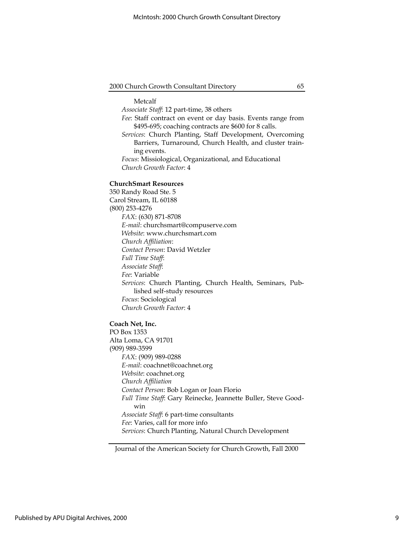#### Metcalf

Associate Staff: 12 part-time, 38 others

- Fee: Staff contract on event or day basis. Events range from \$495-695; coaching contracts are \$600 for 8 calls.
- Services: Church Planting, Staff Development, Overcoming Barriers, Turnaround, Church Health, and cluster training events.
- Focus: Missiological, Organizational, and Educational Church Growth Factor: 4

#### ChurchSmart Resources

350 Randy Road Ste. 5 Carol Stream, IL 60188 (800) 253-4276 FAX: (630) 871-8708 E-mail: churchsmart@compuserve.com Website: www.churchsmart.com Church Affiliation: Contact Person: David Wetzler Full Time Staff: Associate Staff: Fee: Variable Services: Church Planting, Church Health, Seminars, Published self-study resources Focus: Sociological Church Growth Factor: 4

## Coach Net, Inc.

PO Box 1353 Alta Loma, CA 91701 (909) 989-3599 FAX: (909) 989-0288 E-mail: coachnet@coachnet.org Website: coachnet.org Church Affiliation Contact Person: Bob Logan or Joan Florio Full Time Staff: Gary Reinecke, Jeannette Buller, Steve Goodwin Associate Staff: 6 part-time consultants Fee: Varies, call for more info Services: Church Planting, Natural Church Development

Journal of the American Society for Church Growth, Fall 2000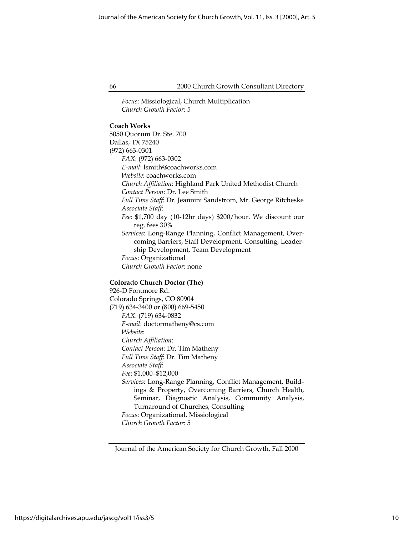Focus: Missiological, Church Multiplication Church Growth Factor: 5

## Coach Works

5050 Quorum Dr. Ste. 700 Dallas, TX 75240 (972) 663-0301 FAX: (972) 663-0302 E-mail: lsmith@coachworks.com Website: coachworks.com Church Affiliation: Highland Park United Methodist Church Contact Person: Dr. Lee Smith Full Time Staff: Dr. Jeannini Sandstrom, Mr. George Ritcheske Associate Staff: Fee: \$1,700 day (10-12hr days) \$200/hour. We discount our reg. fees 30% Services: Long-Range Planning, Conflict Management, Overcoming Barriers, Staff Development, Consulting, Leadership Development, Team Development Focus: Organizational Church Growth Factor: none

## Colorado Church Doctor (The)

926-D Fontmore Rd. Colorado Springs, CO 80904 (719) 634-3400 or (800) 669-5450 FAX: (719) 634-0832 E-mail: doctormatheny@cs.com Website: Church Affiliation: Contact Person: Dr. Tim Matheny Full Time Staff: Dr. Tim Matheny Associate Staff: Fee: \$1,000–\$12,000 Services: Long-Range Planning, Conflict Management, Buildings & Property, Overcoming Barriers, Church Health, Seminar, Diagnostic Analysis, Community Analysis, Turnaround of Churches, Consulting Focus: Organizational, Missiological Church Growth Factor: 5

Journal of the American Society for Church Growth, Fall 2000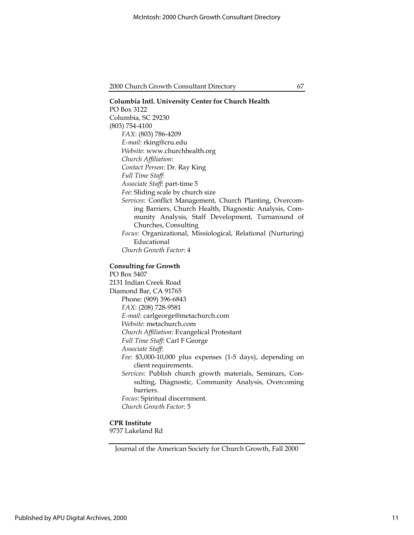Columbia Intl. University Center for Church Health PO Box 3122 Columbia, SC 29230 (803) 754-4100 FAX: (803) 786-4209 E-mail: rking@cru.edu Website: www.churchhealth.org Church Affiliation: Contact Person: Dr. Ray King Full Time Staff: Associate Staff: part-time 5 Fee: Sliding scale by church size Services: Conflict Management, Church Planting, Overcoming Barriers, Church Health, Diagnostic Analysis, Community Analysis, Staff Development, Turnaround of Churches, Consulting Focus: Organizational, Missiological, Relational (Nurturing) Educational Church Growth Factor: 4 Consulting for Growth PO Box 5407 2131 Indian Creek Road Diamond Bar, CA 91765 Phone: (909) 396-6843 FAX: (208) 728-9581 E-mail: carlgeorge@metachurch.com Website: metachurch.com Church Affiliation: Evangelical Protestant Full Time Staff: Carl F George Associate Staff: Fee: \$3,000-10,000 plus expenses (1-5 days), depending on client requirements. Services: Publish church growth materials, Seminars, Consulting, Diagnostic, Community Analysis, Overcoming barriers. Focus: Spiritual discernment. Church Growth Factor: 5

CPR Institute

9737 Lakeland Rd

Journal of the American Society for Church Growth, Fall 2000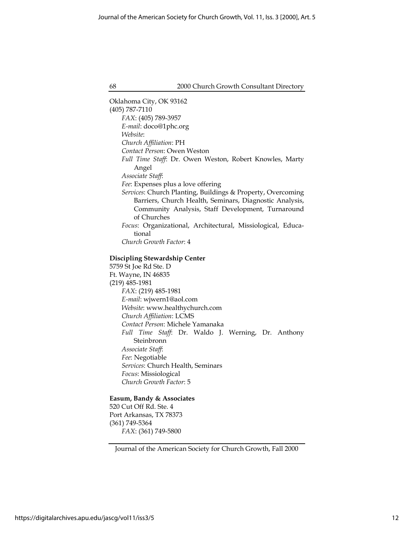Oklahoma City, OK 93162 (405) 787-7110 FAX: (405) 789-3957 E-mail: doco@1phc.org Website: Church Affiliation: PH Contact Person: Owen Weston Full Time Staff: Dr. Owen Weston, Robert Knowles, Marty Angel Associate Staff: Fee: Expenses plus a love offering Services: Church Planting, Buildings & Property, Overcoming Barriers, Church Health, Seminars, Diagnostic Analysis, Community Analysis, Staff Development, Turnaround of Churches Focus: Organizational, Architectural, Missiological, Educational Church Growth Factor: 4 Discipling Stewardship Center 5759 St Joe Rd Ste. D Ft. Wayne, IN 46835 (219) 485-1981 FAX: (219) 485-1981 E-mail: wjwern1@aol.com Website: www.healthychurch.com Church Affiliation: LCMS Contact Person: Michele Yamanaka Full Time Staff: Dr. Waldo J. Werning, Dr. Anthony Steinbronn Associate Staff: Fee: Negotiable Services: Church Health, Seminars Focus: Missiological Church Growth Factor: 5

## Easum, Bandy & Associates

520 Cut Off Rd. Ste. 4 Port Arkansas, TX 78373 (361) 749-5364 FAX: (361) 749-5800

Journal of the American Society for Church Growth, Fall 2000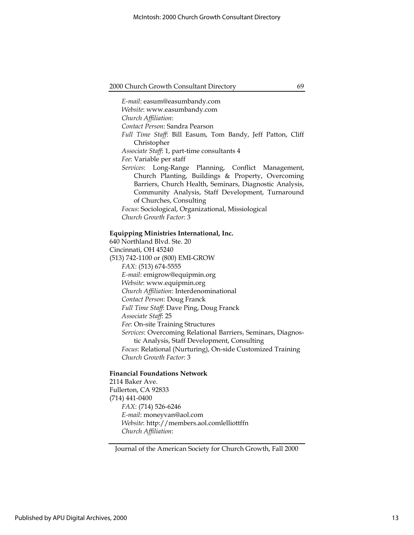E-mail: easum@easumbandy.com Website: www.easumbandy.com Church Affiliation: Contact Person: Sandra Pearson Full Time Staff: Bill Easum, Tom Bandy, Jeff Patton, Cliff Christopher Associate Staff: 1, part-time consultants 4 Fee: Variable per staff Services: Long-Range Planning, Conflict Management, Church Planting, Buildings & Property, Overcoming Barriers, Church Health, Seminars, Diagnostic Analysis, Community Analysis, Staff Development, Turnaround of Churches, Consulting Focus: Sociological, Organizational, Missiological Church Growth Factor: 3

#### Equipping Ministries International, Inc.

640 Northland Blvd. Ste. 20 Cincinnati, OH 45240 (513) 742-1100 or (800) EMI-GROW FAX: (513) 674-5555 E-mail: emigrow@equipmin.org Website: www.equipmin.org Church Affiliation: Interdenominational Contact Person: Doug Franck Full Time Staff: Dave Ping, Doug Franck Associate Staff: 25 Fee: On-site Training Structures Services: Overcoming Relational Barriers, Seminars, Diagnostic Analysis, Staff Development, Consulting Focus: Relational (Nurturing), On-side Customized Training Church Growth Factor: 3

## Financial Foundations Network

2114 Baker Ave. Fullerton, CA 92833 (714) 441-0400 FAX: (714) 526-6246 E-mail: moneyvan@aol.com Website: http://members.aol.comlelliottffn Church Affiliation:

Journal of the American Society for Church Growth, Fall 2000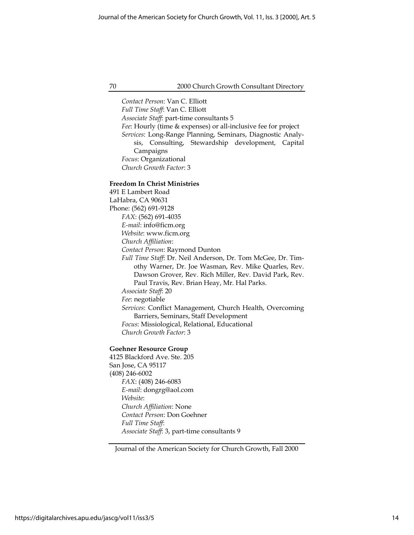Contact Person: Van C. Elliott Full Time Staff: Van C. Elliott Associate Staff: part-time consultants 5 Fee: Hourly (time & expenses) or all-inclusive fee for project Services: Long-Range Planning, Seminars, Diagnostic Analysis, Consulting, Stewardship development, Capital Campaigns Focus: Organizational Church Growth Factor: 3

#### Freedom In Christ Ministries

491 E Lambert Road LaHabra, CA 90631 Phone: (562) 691-9128 FAX: (562) 691-4035 E-mail: info@ficm.org Website: www.ficm.org Church Affiliation: Contact Person: Raymond Dunton Full Time Staff: Dr. Neil Anderson, Dr. Tom McGee, Dr. Timothy Warner, Dr. Joe Wasman, Rev. Mike Quarles, Rev. Dawson Grover, Rev. Rich Miller, Rev. David Park, Rev. Paul Travis, Rev. Brian Heay, Mr. Hal Parks. Associate Staff: 20 Fee: negotiable Services: Conflict Management, Church Health, Overcoming Barriers, Seminars, Staff Development Focus: Missiological, Relational, Educational Church Growth Factor: 3

#### Goehner Resource Group

4125 Blackford Ave. Ste. 205 San Jose, CA 95117 (408) 246-6002 FAX: (408) 246-6083 E-mail: dongrg@aol.com Website: Church Affiliation: None Contact Person: Don Goehner Full Time Staff: Associate Staff: 3, part-time consultants 9

Journal of the American Society for Church Growth, Fall 2000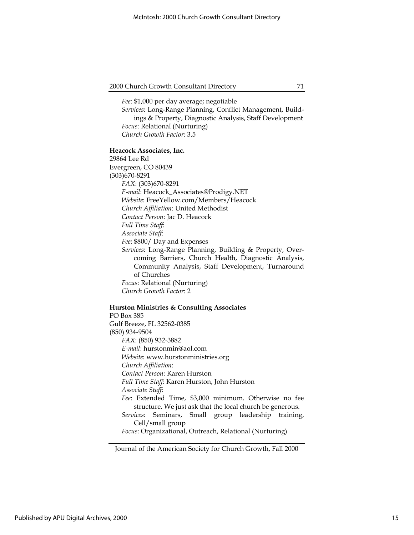Fee: \$1,000 per day average; negotiable

Services: Long-Range Planning, Conflict Management, Buildings & Property, Diagnostic Analysis, Staff Development Focus: Relational (Nurturing) Church Growth Factor: 3.5

#### Heacock Associates, Inc.

29864 Lee Rd Evergreen, CO 80439 (303)670-8291 FAX: (303)670-8291 E-mail: Heacock\_Associates@Prodigy.NET Website: FreeYellow.com/Members/Heacock Church Affiliation: United Methodist Contact Person: Jac D. Heacock Full Time Staff: Associate Staff: Fee: \$800/ Day and Expenses Services: Long-Range Planning, Building & Property, Overcoming Barriers, Church Health, Diagnostic Analysis, Community Analysis, Staff Development, Turnaround of Churches Focus: Relational (Nurturing) Church Growth Factor: 2

#### Hurston Ministries & Consulting Associates

PO Box 385 Gulf Breeze, FL 32562-0385 (850) 934-9504 FAX: (850) 932-3882 E-mail: hurstonmin@aol.com Website: www.hurstonministries.org Church Affiliation: Contact Person: Karen Hurston Full Time Staff: Karen Hurston, John Hurston Associate Staff: Fee: Extended Time, \$3,000 minimum. Otherwise no fee structure. We just ask that the local church be generous. Services: Seminars, Small group leadership training, Cell/small group Focus: Organizational, Outreach, Relational (Nurturing)

Journal of the American Society for Church Growth, Fall 2000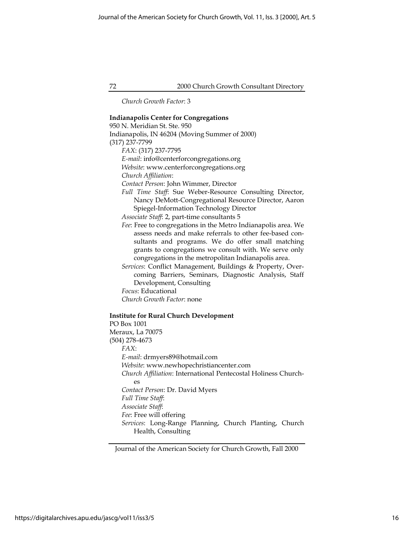Church Growth Factor: 3

## Indianapolis Center for Congregations 950 N. Meridian St. Ste. 950 Indianapolis, IN 46204 (Moving Summer of 2000) (317) 237-7799 FAX: (317) 237-7795 E-mail: info@centerforcongregations.org Website: www.centerforcongregations.org Church Affiliation: Contact Person: John Wimmer, Director Full Time Staff: Sue Weber-Resource Consulting Director, Nancy DeMott-Congregational Resource Director, Aaron Spiegel-Information Technology Director Associate Staff: 2, part-time consultants 5 Fee: Free to congregations in the Metro Indianapolis area. We assess needs and make referrals to other fee-based consultants and programs. We do offer small matching grants to congregations we consult with. We serve only congregations in the metropolitan Indianapolis area. Services: Conflict Management, Buildings & Property, Overcoming Barriers, Seminars, Diagnostic Analysis, Staff Development, Consulting Focus: Educational Church Growth Factor: none Institute for Rural Church Development PO Box 1001 Meraux, La 70075 (504) 278-4673 FAX: E-mail: drmyers89@hotmail.com Website: www.newhopechristiancenter.com Church Affiliation: International Pentecostal Holiness Churches Contact Person: Dr. David Myers Full Time Staff: Associate Staff: Fee: Free will offering Services: Long-Range Planning, Church Planting, Church

Health, Consulting

Journal of the American Society for Church Growth, Fall 2000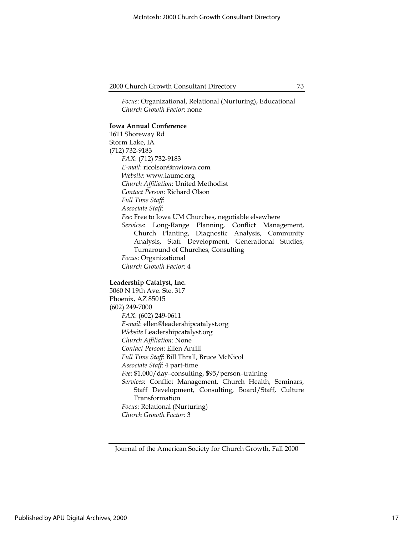Focus: Organizational, Relational (Nurturing), Educational Church Growth Factor: none

#### Iowa Annual Conference

1611 Shoreway Rd Storm Lake, IA (712) 732-9183 FAX: (712) 732-9183 E-mail: ricolson@nwiowa.com Website: www.iaumc.org Church Affiliation: United Methodist Contact Person: Richard Olson Full Time Staff: Associate Staff: Fee: Free to Iowa UM Churches, negotiable elsewhere Services: Long-Range Planning, Conflict Management, Church Planting, Diagnostic Analysis, Community Analysis, Staff Development, Generational Studies, Turnaround of Churches, Consulting Focus: Organizational Church Growth Factor: 4

#### Leadership Catalyst, Inc.

5060 N 19th Ave. Ste. 317 Phoenix, AZ 85015 (602) 249-7000 FAX: (602) 249-0611 E-mail: ellen@leadershipcatalyst.org Website Leadershipcatalyst.org Church Affiliation: None Contact Person: Ellen Anfill Full Time Staff: Bill Thrall, Bruce McNicol Associate Staff: 4 part-time Fee: \$1,000/day-consulting, \$95/person-training Services: Conflict Management, Church Health, Seminars, Staff Development, Consulting, Board/Staff, Culture Transformation Focus: Relational (Nurturing) Church Growth Factor: 3

Journal of the American Society for Church Growth, Fall 2000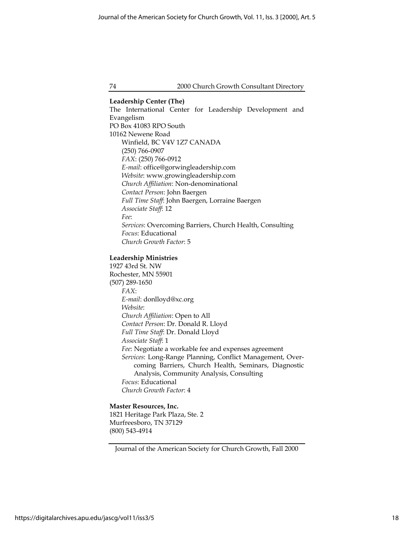Leadership Center (The) The International Center for Leadership Development and Evangelism PO Box 41083 RPO South 10162 Newene Road Winfield, BC V4V 1Z7 CANADA (250) 766-0907 FAX: (250) 766-0912 E-mail: office@gorwingleadership.com Website: www.growingleadership.com Church Affiliation: Non-denominational Contact Person: John Baergen Full Time Staff: John Baergen, Lorraine Baergen Associate Staff: 12 Fee: Services: Overcoming Barriers, Church Health, Consulting Focus: Educational Church Growth Factor: 5

## Leadership Ministries

1927 43rd St. NW Rochester, MN 55901 (507) 289-1650 FAX: E-mail: donlloyd@xc.org Website: Church Affiliation: Open to All Contact Person: Dr. Donald R. Lloyd Full Time Staff: Dr. Donald Lloyd Associate Staff: 1 Fee: Negotiate a workable fee and expenses agreement Services: Long-Range Planning, Conflict Management, Overcoming Barriers, Church Health, Seminars, Diagnostic Analysis, Community Analysis, Consulting Focus: Educational Church Growth Factor: 4

#### Master Resources, Inc.

1821 Heritage Park Plaza, Ste. 2 Murfreesboro, TN 37129 (800) 543-4914

Journal of the American Society for Church Growth, Fall 2000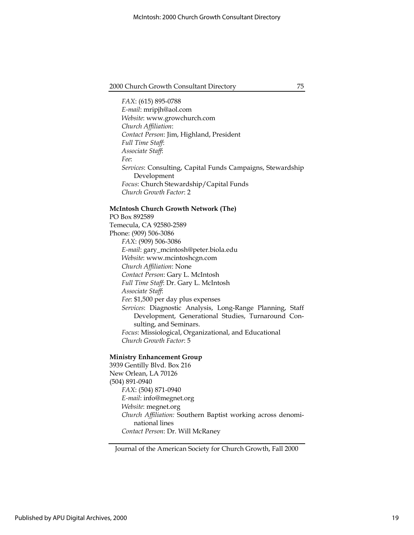FAX: (615) 895-0788 E-mail: mripjh@aol.com Website: www.growchurch.com Church Affiliation: Contact Person: Jim, Highland, President Full Time Staff: Associate Staff: Fee: Services: Consulting, Capital Funds Campaigns, Stewardship Development Focus: Church Stewardship/Capital Funds Church Growth Factor: 2

#### McIntosh Church Growth Network (The)

PO Box 892589 Temecula, CA 92580-2589 Phone: (909) 506-3086 FAX: (909) 506-3086 E-mail: gary\_mcintosh@peter.biola.edu Website: www.mcintoshcgn.com Church Affiliation: None Contact Person: Gary L. McIntosh Full Time Staff: Dr. Gary L. McIntosh Associate Staff: Fee: \$1,500 per day plus expenses Services: Diagnostic Analysis, Long-Range Planning, Staff Development, Generational Studies, Turnaround Consulting, and Seminars. Focus: Missiological, Organizational, and Educational Church Growth Factor: 5

#### Ministry Enhancement Group

3939 Gentilly Blvd. Box 216 New Orlean, LA 70126 (504) 891-0940 FAX: (504) 871-0940 E-mail: info@megnet.org Website: megnet.org Church Affiliation: Southern Baptist working across denominational lines Contact Person: Dr. Will McRaney

Journal of the American Society for Church Growth, Fall 2000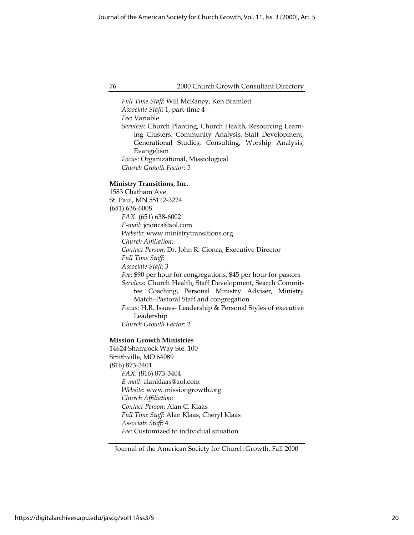Full Time Staff: Will McRaney, Ken Bramlett Associate Staff: 1, part-time 4 Fee: Variable Services: Church Planting, Church Health, Resourcing Learning Clusters, Community Analysis, Staff Development, Generational Studies, Consulting, Worship Analysis, Evangelism Focus: Organizational, Missiological Church Growth Factor: 5

#### Ministry Transitions, Inc.

1583 Chatham Ave. St. Paul, MN 55112-3224 (651) 636-6008 FAX: (651) 638-6002 E-mail: jcionca@aol.com Website: www.ministrytransitions.org Church Affiliation: Contact Person: Dr. John R. Cionca, Executive Director Full Time Staff: Associate Staff: 3 Fee: \$90 per hour for congregations, \$45 per hour for pastors Services: Church Health, Staff Development, Search Committee Coaching, Personal Ministry Adviser, Ministry Match–Pastoral Staff and congregation Focus: H.R. Issues- Leadership & Personal Styles of executive Leadership Church Growth Factor: 2

#### Mission Growth Ministries

14624 Shamrock Way Ste. 100 Smithville, MO 64089 (816) 873-3401 FAX: (816) 873-3404 E-mail: alanklaas@aol.com Website: www.missiongrowth.org Church Affiliation: Contact Person: Alan C. Klaas Full Time Staff: Alan Klaas, Cheryl Klaas Associate Staff: 4 Fee: Customized to individual situation

Journal of the American Society for Church Growth, Fall 2000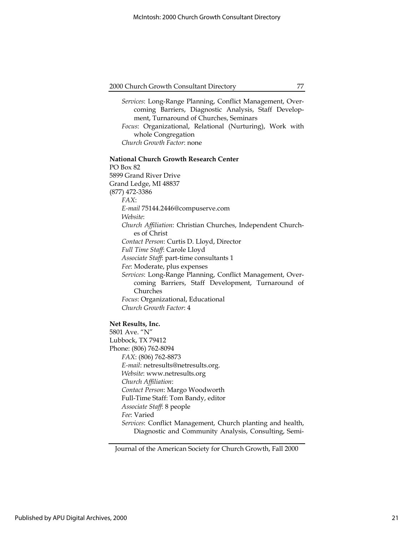Services: Long-Range Planning, Conflict Management, Overcoming Barriers, Diagnostic Analysis, Staff Development, Turnaround of Churches, Seminars Focus: Organizational, Relational (Nurturing), Work with whole Congregation Church Growth Factor: none

#### National Church Growth Research Center

PO Box 82 5899 Grand River Drive Grand Ledge, MI 48837 (877) 472-3386 FAX: E-mail 75144.2446@compuserve.com Website: Church Affiliation: Christian Churches, Independent Churches of Christ Contact Person: Curtis D. Lloyd, Director Full Time Staff: Carole Lloyd Associate Staff: part-time consultants 1 Fee: Moderate, plus expenses Services: Long-Range Planning, Conflict Management, Overcoming Barriers, Staff Development, Turnaround of Churches Focus: Organizational, Educational Church Growth Factor: 4

## Net Results, Inc.

5801 Ave. "N" Lubbock, TX 79412 Phone: (806) 762-8094 FAX: (806) 762-8873 E-mail: netresults@netresults.org. Website: www.netresults.org Church Affiliation: Contact Person: Margo Woodworth Full-Time Staff: Tom Bandy, editor Associate Staff: 8 people Fee: Varied Services: Conflict Management, Church planting and health, Diagnostic and Community Analysis, Consulting, Semi-

Journal of the American Society for Church Growth, Fall 2000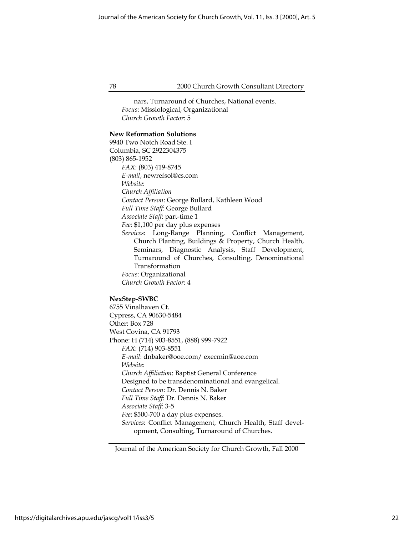nars, Turnaround of Churches, National events. Focus: Missiological, Organizational Church Growth Factor: 5

## New Reformation Solutions

9940 Two Notch Road Ste. I Columbia, SC 2922304375 (803) 865-1952 FAX: (803) 419-8745 E-mail, newrefsol@cs.com Website: Church Affiliation Contact Person: George Bullard, Kathleen Wood Full Time Staff: George Bullard Associate Staff: part-time 1 Fee: \$1,100 per day plus expenses Services: Long-Range Planning, Conflict Management, Church Planting, Buildings & Property, Church Health, Seminars, Diagnostic Analysis, Staff Development, Turnaround of Churches, Consulting, Denominational Transformation Focus: Organizational Church Growth Factor: 4

## NexStep-SWBC

6755 Vinalhaven Ct. Cypress, CA 90630-5484 Other: Box 728 West Covina, CA 91793 Phone: H (714) 903-8551, (888) 999-7922 FAX: (714) 903-8551 E-mail: dnbaker@ooe.com/ execmin@aoe.com Website: Church Affiliation: Baptist General Conference Designed to be transdenominational and evangelical. Contact Person: Dr. Dennis N. Baker Full Time Staff: Dr. Dennis N. Baker Associate Staff: 3-5 Fee: \$500-700 a day plus expenses. Services: Conflict Management, Church Health, Staff development, Consulting, Turnaround of Churches.

Journal of the American Society for Church Growth, Fall 2000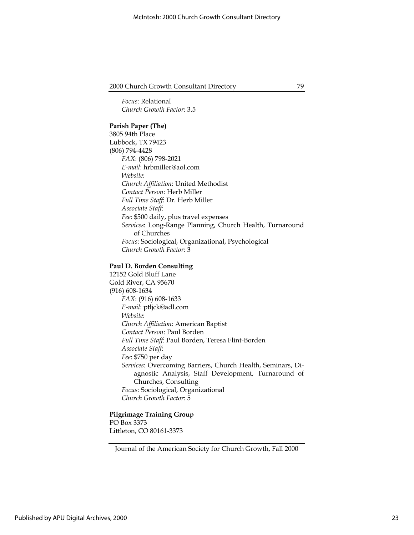Focus: Relational Church Growth Factor: 3.5

### Parish Paper (The)

3805 94th Place Lubbock, TX 79423 (806) 794-4428 FAX: (806) 798-2021 E-mail: hrbmiller@aol.com Website: Church Affiliation: United Methodist Contact Person: Herb Miller Full Time Staff: Dr. Herb Miller Associate Staff: Fee: \$500 daily, plus travel expenses Services: Long-Range Planning, Church Health, Turnaround of Churches Focus: Sociological, Organizational, Psychological Church Growth Factor: 3

## Paul D. Borden Consulting

12152 Gold Bluff Lane Gold River, CA 95670 (916) 608-1634 FAX: (916) 608-1633 E-mail: ptljck@adl.com Website: Church Affiliation: American Baptist Contact Person: Paul Borden Full Time Staff: Paul Borden, Teresa Flint-Borden Associate Staff: Fee: \$750 per day Services: Overcoming Barriers, Church Health, Seminars, Diagnostic Analysis, Staff Development, Turnaround of Churches, Consulting Focus: Sociological, Organizational Church Growth Factor: 5

## Pilgrimage Training Group

PO Box 3373 Littleton, CO 80161-3373

Journal of the American Society for Church Growth, Fall 2000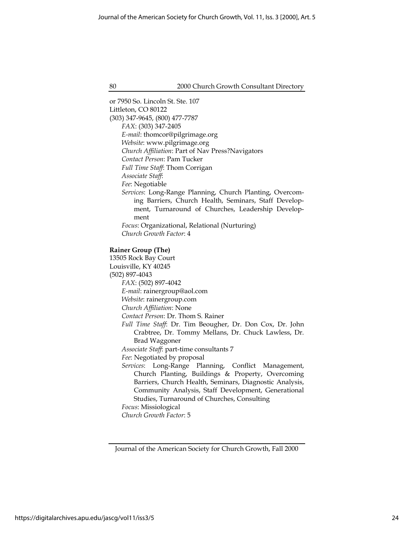or 7950 So. Lincoln St. Ste. 107 Littleton, CO 80122 (303) 347-9645, (800) 477-7787 FAX: (303) 347-2405 E-mail: thomcor@pilgrimage.org Website: www.pilgrimage.org Church Affiliation: Part of Nav Press?Navigators Contact Person: Pam Tucker Full Time Staff: Thom Corrigan Associate Staff: Fee: Negotiable Services: Long-Range Planning, Church Planting, Overcoming Barriers, Church Health, Seminars, Staff Development, Turnaround of Churches, Leadership Development Focus: Organizational, Relational (Nurturing) Church Growth Factor: 4 Rainer Group (The) 13505 Rock Bay Court Louisville, KY 40245 (502) 897-4043 FAX: (502) 897-4042 E-mail: rainergroup@aol.com Website: rainergroup.com Church Affiliation: None

Contact Person: Dr. Thom S. Rainer

Full Time Staff: Dr. Tim Beougher, Dr. Don Cox, Dr. John Crabtree, Dr. Tommy Mellans, Dr. Chuck Lawless, Dr. Brad Waggoner

Associate Staff: part-time consultants 7

Fee: Negotiated by proposal

Services: Long-Range Planning, Conflict Management, Church Planting, Buildings & Property, Overcoming Barriers, Church Health, Seminars, Diagnostic Analysis, Community Analysis, Staff Development, Generational Studies, Turnaround of Churches, Consulting

Focus: Missiological Church Growth Factor: 5

Journal of the American Society for Church Growth, Fall 2000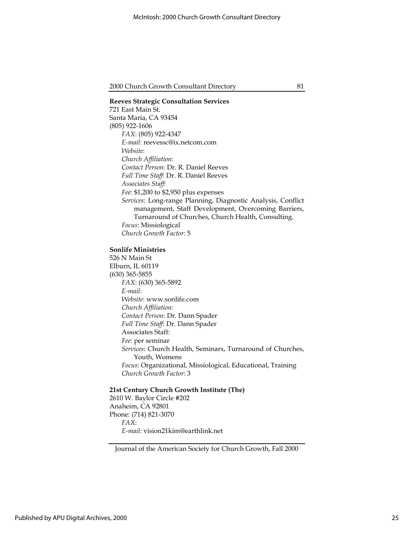## Reeves Strategic Consultation Services 721 East Main St. Santa Maria, CA 93454 (805) 922-1606 FAX: (805) 922-4347 E-mail: reevessc@ix.netcom.com Website: Church Affiliation: Contact Person: Dr. R. Daniel Reeves Full Time Staff: Dr. R. Daniel Reeves Associates Staff: Fee: \$1,200 to \$2,950 plus expenses Services: Long-range Planning, Diagnostic Analysis, Conflict management, Staff Development, Overcoming Barriers, Turnaround of Churches, Church Health, Consulting. Focus: Missiological Church Growth Factor: 5

## Sonlife Ministries

526 N Main St Elburn, IL 60119 (630) 365-5855 FAX: (630) 365-5892 E-mail: Website: www.sonlife.com Church Affiliation: Contact Person: Dr. Dann Spader Full Time Staff: Dr. Dann Spader Associates Staff: Fee: per seminar Services: Church Health, Seminars, Turnaround of Churches, Youth, Womens Focus: Organizational, Missiological, Educational, Training Church Growth Factor: 3

## 21st Century Church Growth Institute (The)

2610 W. Baylor Circle #202 Anaheim, CA 92801 Phone: (714) 821-3070 FAX: E-mail: vision21kim@earthlink.net

Journal of the American Society for Church Growth, Fall 2000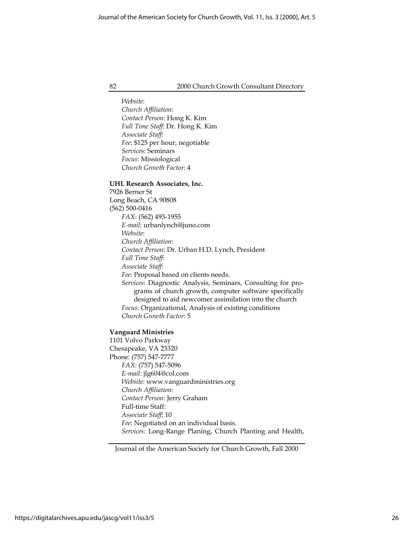Website: Church Affiliation: Contact Person: Hong K. Kim Full Time Staff: Dr. Hong K. Kim Associate Staff: Fee: \$125 per hour, negotiable Services: Seminars Focus: Missiological Church Growth Factor: 4

#### UHL Research Associates, Inc.

7926 Berner St Long Beach, CA 90808 (562) 500-0416 FAX: (562) 493-1955 E-mail: urbanlynch@juno.com Website: Church Affiliation: Contact Person: Dr. Urban H.D. Lynch, President Full Time Staff: Associate Staff: Fee: Proposal based on clients needs. Services: Diagnostic Analysis, Seminars, Consulting for programs of church growth, computer software specifically designed to aid newcomer assimilation into the church Focus: Organizational, Analysis of existing conditions Church Growth Factor: 5

## Vanguard Ministries

1101 Volvo Parkway Chesapeake, VA 23320 Phone: (757) 547-7777 FAX: (757) 547-5096 E-mail: jlg604@col.com Website: www.vanguardministries.org Church Affiliation: Contact Person: Jerry Graham Full-time Staff: Associate Staff: 10 Fee: Negotiated on an individual basis. Services: Long-Range Planing, Church Planting and Health,

Journal of the American Society for Church Growth, Fall 2000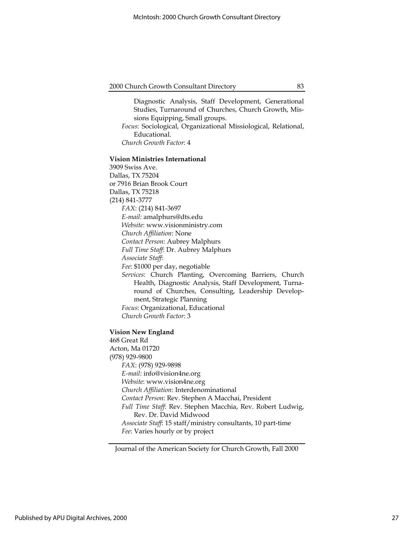Diagnostic Analysis, Staff Development, Generational Studies, Turnaround of Churches, Church Growth, Missions Equipping, Small groups.

Focus: Sociological, Organizational Missiological, Relational, Educational.

Church Growth Factor: 4

#### Vision Ministries International

3909 Swiss Ave. Dallas, TX 75204 or 7916 Brian Brook Court Dallas, TX 75218 (214) 841-3777 FAX: (214) 841-3697 E-mail: amalphurs@dts.edu Website: www.visionministry.com Church Affiliation: None Contact Person: Aubrey Malphurs Full Time Staff: Dr. Aubrey Malphurs Associate Staff: Fee: \$1000 per day, negotiable Services: Church Planting, Overcoming Barriers, Church Health, Diagnostic Analysis, Staff Development, Turnaround of Churches, Consulting, Leadership Development, Strategic Planning Focus: Organizational, Educational Church Growth Factor: 3

#### Vision New England

468 Great Rd Acton, Ma 01720 (978) 929-9800 FAX: (978) 929-9898 E-mail: info@vision4ne.org Website: www.vision4ne.org Church Affiliation: Interdenominational Contact Person: Rev. Stephen A Macchai, President Full Time Staff: Rev. Stephen Macchia, Rev. Robert Ludwig, Rev. Dr. David Midwood Associate Staff: 15 staff/ministry consultants, 10 part-time Fee: Varies hourly or by project

Journal of the American Society for Church Growth, Fall 2000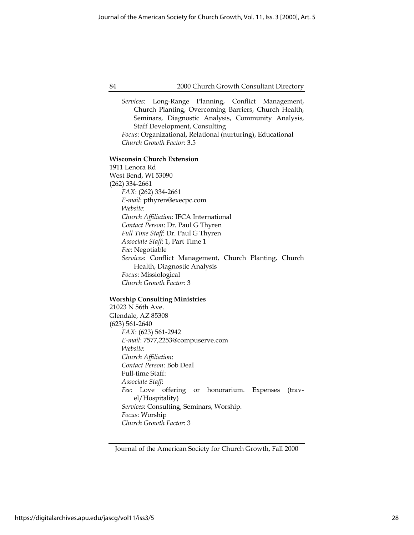Services: Long-Range Planning, Conflict Management, Church Planting, Overcoming Barriers, Church Health, Seminars, Diagnostic Analysis, Community Analysis, Staff Development, Consulting

Focus: Organizational, Relational (nurturing), Educational Church Growth Factor: 3.5

#### Wisconsin Church Extension

1911 Lenora Rd West Bend, WI 53090 (262) 334-2661 FAX: (262) 334-2661 E-mail: pthyren@execpc.com Website: Church Affiliation: IFCA International Contact Person: Dr. Paul G Thyren Full Time Staff: Dr. Paul G Thyren Associate Staff: 1, Part Time 1 Fee: Negotiable Services: Conflict Management, Church Planting, Church Health, Diagnostic Analysis Focus: Missiological Church Growth Factor: 3

#### Worship Consulting Ministries

21023 N 56th Ave. Glendale, AZ 85308 (623) 561-2640 FAX: (623) 561-2942 E-mail: 7577,2253@compuserve.com Website: Church Affiliation: Contact Person: Bob Deal Full-time Staff: Associate Staff: Fee: Love offering or honorarium. Expenses (travel/Hospitality) Services: Consulting, Seminars, Worship. Focus: Worship Church Growth Factor: 3

Journal of the American Society for Church Growth, Fall 2000